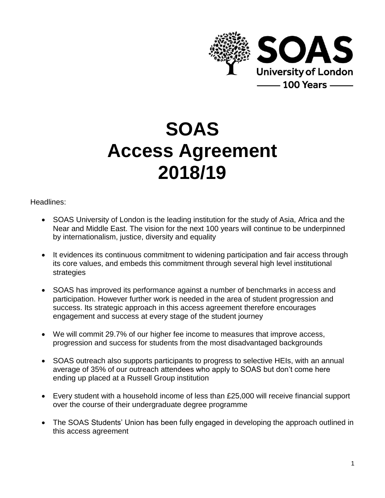

# **SOAS Access Agreement 2018/19**

Headlines:

- SOAS University of London is the leading institution for the study of Asia, Africa and the Near and Middle East. The vision for the next 100 years will continue to be underpinned by internationalism, justice, diversity and equality
- It evidences its continuous commitment to widening participation and fair access through its core values, and embeds this commitment through several high level institutional strategies
- SOAS has improved its performance against a number of benchmarks in access and participation. However further work is needed in the area of student progression and success. Its strategic approach in this access agreement therefore encourages engagement and success at every stage of the student journey
- We will commit 29.7% of our higher fee income to measures that improve access, progression and success for students from the most disadvantaged backgrounds
- SOAS outreach also supports participants to progress to selective HEIs, with an annual average of 35% of our outreach attendees who apply to SOAS but don't come here ending up placed at a Russell Group institution
- Every student with a household income of less than £25,000 will receive financial support over the course of their undergraduate degree programme
- The SOAS Students' Union has been fully engaged in developing the approach outlined in this access agreement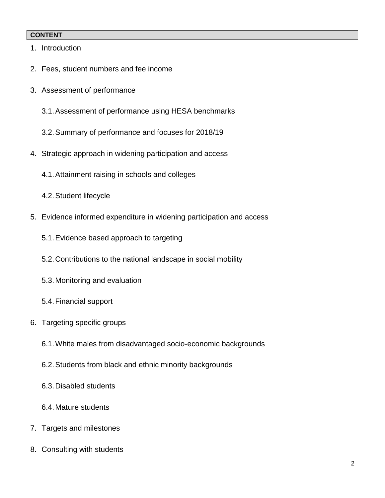#### **CONTENT**

- 1. Introduction
- 2. Fees, student numbers and fee income
- 3. Assessment of performance
	- 3.1.Assessment of performance using HESA benchmarks
	- 3.2.Summary of performance and focuses for 2018/19
- 4. Strategic approach in widening participation and access
	- 4.1.Attainment raising in schools and colleges
	- 4.2.Student lifecycle
- 5. Evidence informed expenditure in widening participation and access
	- 5.1.Evidence based approach to targeting
	- 5.2.Contributions to the national landscape in social mobility
	- 5.3.Monitoring and evaluation
	- 5.4.Financial support
- 6. Targeting specific groups
	- 6.1.White males from disadvantaged socio-economic backgrounds
	- 6.2.Students from black and ethnic minority backgrounds
	- 6.3.Disabled students
	- 6.4.Mature students
- 7. Targets and milestones
- 8. Consulting with students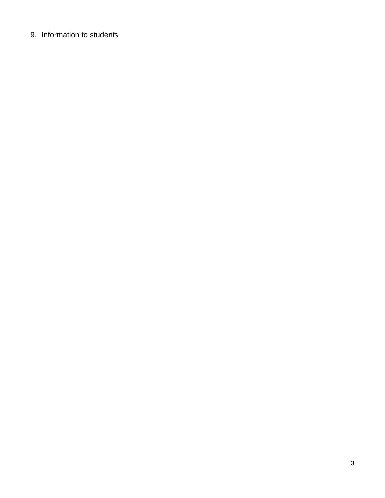# 9. Information to students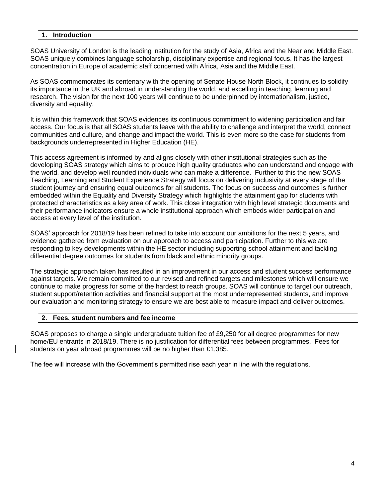#### **1. Introduction**

SOAS University of London is the leading institution for the study of Asia, Africa and the Near and Middle East. SOAS uniquely combines language scholarship, disciplinary expertise and regional focus. It has the largest concentration in Europe of academic staff concerned with Africa, Asia and the Middle East.

As SOAS commemorates its centenary with the opening of Senate House North Block, it continues to solidify its importance in the UK and abroad in understanding the world, and excelling in teaching, learning and research. The vision for the next 100 years will continue to be underpinned by internationalism, justice, diversity and equality.

It is within this framework that SOAS evidences its continuous commitment to widening participation and fair access. Our focus is that all SOAS students leave with the ability to challenge and interpret the world, connect communities and culture, and change and impact the world. This is even more so the case for students from backgrounds underrepresented in Higher Education (HE).

This access agreement is informed by and aligns closely with other institutional strategies such as the developing SOAS strategy which aims to produce high quality graduates who can understand and engage with the world, and develop well rounded individuals who can make a difference. Further to this the new SOAS Teaching, Learning and Student Experience Strategy will focus on delivering inclusivity at every stage of the student journey and ensuring equal outcomes for all students. The focus on success and outcomes is further embedded within the Equality and Diversity Strategy which highlights the attainment gap for students with protected characteristics as a key area of work. This close integration with high level strategic documents and their performance indicators ensure a whole institutional approach which embeds wider participation and access at every level of the institution.

SOAS' approach for 2018/19 has been refined to take into account our ambitions for the next 5 years, and evidence gathered from evaluation on our approach to access and participation. Further to this we are responding to key developments within the HE sector including supporting school attainment and tackling differential degree outcomes for students from black and ethnic minority groups.

The strategic approach taken has resulted in an improvement in our access and student success performance against targets. We remain committed to our revised and refined targets and milestones which will ensure we continue to make progress for some of the hardest to reach groups. SOAS will continue to target our outreach, student support/retention activities and financial support at the most underrepresented students, and improve our evaluation and monitoring strategy to ensure we are best able to measure impact and deliver outcomes.

#### **2. Fees, student numbers and fee income**

SOAS proposes to charge a single undergraduate tuition fee of £9,250 for all degree programmes for new home/EU entrants in 2018/19. There is no justification for differential fees between programmes. Fees for students on year abroad programmes will be no higher than £1,385.

The fee will increase with the Government's permitted rise each year in line with the regulations.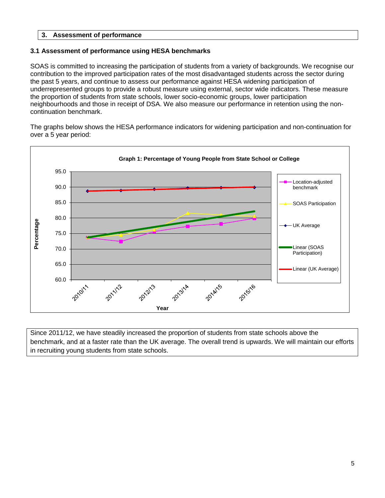#### **3. Assessment of performance**

#### **3.1 Assessment of performance using HESA benchmarks**

SOAS is committed to increasing the participation of students from a variety of backgrounds. We recognise our contribution to the improved participation rates of the most disadvantaged students across the sector during the past 5 years, and continue to assess our performance against HESA widening participation of underrepresented groups to provide a robust measure using external, sector wide indicators. These measure the proportion of students from state schools, lower socio-economic groups, lower participation neighbourhoods and those in receipt of DSA. We also measure our performance in retention using the noncontinuation benchmark.

The graphs below shows the HESA performance indicators for widening participation and non-continuation for over a 5 year period:



Since 2011/12, we have steadily increased the proportion of students from state schools above the benchmark, and at a faster rate than the UK average. The overall trend is upwards. We will maintain our efforts in recruiting young students from state schools.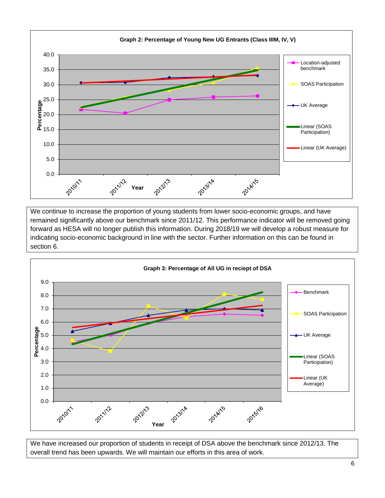

We continue to increase the proportion of young students from lower socio-economic groups, and have remained significantly above our benchmark since 2011/12. This performance indicator will be removed going forward as HESA will no longer publish this information. During 2018/19 we will develop a robust measure for indicating socio-economic background in line with the sector. Further information on this can be found in section 6.



We have increased our proportion of students in receipt of DSA above the benchmark since 2012/13. The overall trend has been upwards. We will maintain our efforts in this area of work.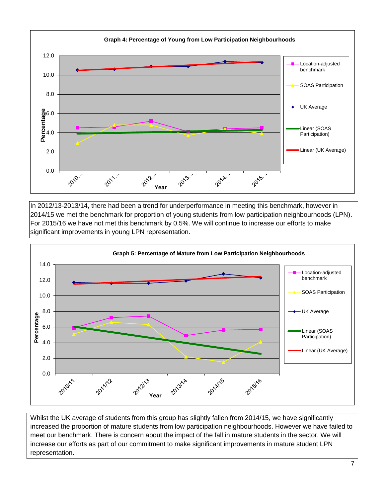

In 2012/13-2013/14, there had been a trend for underperformance in meeting this benchmark, however in 2014/15 we met the benchmark for proportion of young students from low participation neighbourhoods (LPN). For 2015/16 we have not met this benchmark by 0.5%. We will continue to increase our efforts to make significant improvements in young LPN representation.



Whilst the UK average of students from this group has slightly fallen from 2014/15, we have significantly increased the proportion of mature students from low participation neighbourhoods. However we have failed to meet our benchmark. There is concern about the impact of the fall in mature students in the sector. We will increase our efforts as part of our commitment to make significant improvements in mature student LPN representation.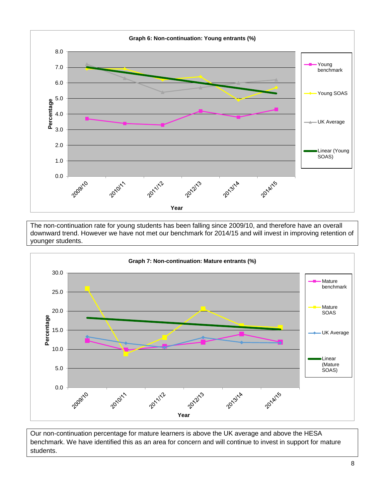

The non-continuation rate for young students has been falling since 2009/10, and therefore have an overall downward trend. However we have not met our benchmark for 2014/15 and will invest in improving retention of younger students.



Our non-continuation percentage for mature learners is above the UK average and above the HESA benchmark. We have identified this as an area for concern and will continue to invest in support for mature students.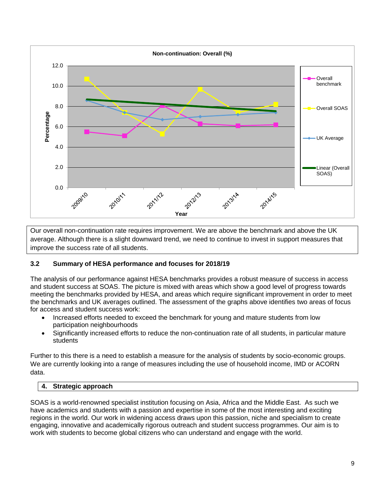

Our overall non-continuation rate requires improvement. We are above the benchmark and above the UK average. Although there is a slight downward trend, we need to continue to invest in support measures that improve the success rate of all students.

#### **3.2 Summary of HESA performance and focuses for 2018/19**

The analysis of our performance against HESA benchmarks provides a robust measure of success in access and student success at SOAS. The picture is mixed with areas which show a good level of progress towards meeting the benchmarks provided by HESA, and areas which require significant improvement in order to meet the benchmarks and UK averages outlined. The assessment of the graphs above identifies two areas of focus for access and student success work:

- Increased efforts needed to exceed the benchmark for young and mature students from low participation neighbourhoods
- Significantly increased efforts to reduce the non-continuation rate of all students, in particular mature students

Further to this there is a need to establish a measure for the analysis of students by socio-economic groups. We are currently looking into a range of measures including the use of household income, IMD or ACORN data.

#### **4. Strategic approach**

SOAS is a world-renowned specialist institution focusing on Asia, Africa and the Middle East. As such we have academics and students with a passion and expertise in some of the most interesting and exciting regions in the world. Our work in widening access draws upon this passion, niche and specialism to create engaging, innovative and academically rigorous outreach and student success programmes. Our aim is to work with students to become global citizens who can understand and engage with the world.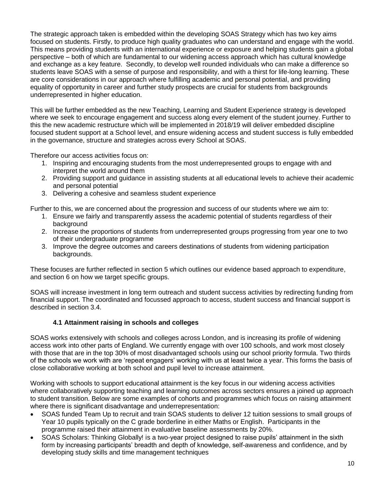The strategic approach taken is embedded within the developing SOAS Strategy which has two key aims focused on students. Firstly, to produce high quality graduates who can understand and engage with the world. This means providing students with an international experience or exposure and helping students gain a global perspective – both of which are fundamental to our widening access approach which has cultural knowledge and exchange as a key feature. Secondly, to develop well rounded individuals who can make a difference so students leave SOAS with a sense of purpose and responsibility, and with a thirst for life-long learning. These are core considerations in our approach where fulfilling academic and personal potential, and providing equality of opportunity in career and further study prospects are crucial for students from backgrounds underrepresented in higher education.

This will be further embedded as the new Teaching, Learning and Student Experience strategy is developed where we seek to encourage engagement and success along every element of the student journey. Further to this the new academic restructure which will be implemented in 2018/19 will deliver embedded discipline focused student support at a School level, and ensure widening access and student success is fully embedded in the governance, structure and strategies across every School at SOAS.

Therefore our access activities focus on:

- 1. Inspiring and encouraging students from the most underrepresented groups to engage with and interpret the world around them
- 2. Providing support and guidance in assisting students at all educational levels to achieve their academic and personal potential
- 3. Delivering a cohesive and seamless student experience

Further to this, we are concerned about the progression and success of our students where we aim to:

- 1. Ensure we fairly and transparently assess the academic potential of students regardless of their background
- 2. Increase the proportions of students from underrepresented groups progressing from year one to two of their undergraduate programme
- 3. Improve the degree outcomes and careers destinations of students from widening participation backgrounds.

These focuses are further reflected in section 5 which outlines our evidence based approach to expenditure, and section 6 on how we target specific groups.

SOAS will increase investment in long term outreach and student success activities by redirecting funding from financial support. The coordinated and focussed approach to access, student success and financial support is described in section 3.4.

#### **4.1 Attainment raising in schools and colleges**

SOAS works extensively with schools and colleges across London, and is increasing its profile of widening access work into other parts of England. We currently engage with over 100 schools, and work most closely with those that are in the top 30% of most disadvantaged schools using our school priority formula. Two thirds of the schools we work with are 'repeat engagers' working with us at least twice a year. This forms the basis of close collaborative working at both school and pupil level to increase attainment.

Working with schools to support educational attainment is the key focus in our widening access activities where collaboratively supporting teaching and learning outcomes across sectors ensures a joined up approach to student transition. Below are some examples of cohorts and programmes which focus on raising attainment where there is significant disadvantage and underrepresentation:

- SOAS funded Team Up to recruit and train SOAS students to deliver 12 tuition sessions to small groups of Year 10 pupils typically on the C grade borderline in either Maths or English. Participants in the programme raised their attainment in evaluative baseline assessments by 20%.
- SOAS Scholars: Thinking Globally! is a two-year project designed to raise pupils' attainment in the sixth form by increasing participants' breadth and depth of knowledge, self-awareness and confidence, and by developing study skills and time management techniques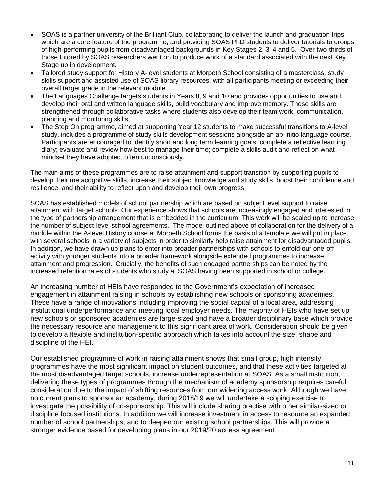- SOAS is a partner university of the Brilliant Club, collaborating to deliver the launch and graduation trips which are a core feature of the programme, and providing SOAS PhD students to deliver tutorials to groups of high-performing pupils from disadvantaged backgrounds in Key Stages 2, 3, 4 and 5. Over two-thirds of those tutored by SOAS researchers went on to produce work of a standard associated with the next Key Stage up in development.
- Tailored study support for History A-level students at Morpeth School consisting of a masterclass, study skills support and assisted use of SOAS library resources, with all participants meeting or exceeding their overall target grade in the relevant module.
- The Languages Challenge targets students in Years 8, 9 and 10 and provides opportunities to use and develop their oral and written language skills, build vocabulary and improve memory. These skills are strengthened through collaborative tasks where students also develop their team work, communication, planning and monitoring skills.
- The Step On programme, aimed at supporting Year 12 students to make successful transitions to A-level study, includes a programme of study skills development sessions alongside an ab-initio language course. Participants are encouraged to identify short and long term learning goals; complete a reflective learning diary; evaluate and review how best to manage their time; complete a skills audit and reflect on what mindset they have adopted, often unconsciously.

The main aims of these programmes are to raise attainment and support transition by supporting pupils to develop their metacognitive skills, increase their subject knowledge and study skills, boost their confidence and resilience, and their ability to reflect upon and develop their own progress.

SOAS has established models of school partnership which are based on subject level support to raise attainment with target schools. Our experience shows that schools are increasingly engaged and interested in the type of partnership arrangement that is embedded in the curriculum. This work will be scaled up to increase the number of subject-level school agreements. The model outlined above of collaboration for the delivery of a module within the A-level History course at Morpeth School forms the basis of a template we will put in place with several schools in a variety of subjects in order to similarly help raise attainment for disadvantaged pupils. In addition, we have drawn up plans to enter into broader partnerships with schools to enfold our one-off activity with younger students into a broader framework alongside extended programmes to increase attainment and progression. Crucially, the benefits of such engaged partnerships can be noted by the increased retention rates of students who study at SOAS having been supported in school or college.

An increasing number of HEIs have responded to the Government's expectation of increased engagement in attainment raising in schools by establishing new schools or sponsoring academies. These have a range of motivations including improving the social capital of a local area, addressing institutional underperformance and meeting local employer needs. The majority of HEIs who have set up new schools or sponsored academies are large-sized and have a broader disciplinary base which provide the necessary resource and management to this significant area of work. Consideration should be given to develop a flexible and institution-specific approach which takes into account the size, shape and discipline of the HEI.

Our established programme of work in raising attainment shows that small group, high intensity programmes have the most significant impact on student outcomes, and that these activities targeted at the most disadvantaged target schools, increase underrepresentation at SOAS. As a small institution, delivering these types of programmes through the mechanism of academy sponsorship requires careful consideration due to the impact of shifting resources from our widening access work. Although we have no current plans to sponsor an academy, during 2018/19 we will undertake a scoping exercise to investigate the possibility of co-sponsorship. This will include sharing practise with other similar-sized or discipline focused institutions. In addition we will increase investment in access to resource an expanded number of school partnerships, and to deepen our existing school partnerships. This will provide a stronger evidence based for developing plans in our 2019/20 access agreement.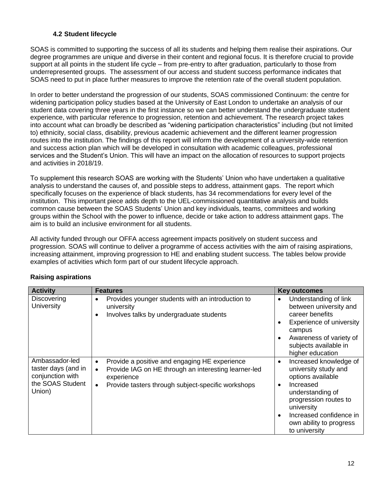#### **4.2 Student lifecycle**

SOAS is committed to supporting the success of all its students and helping them realise their aspirations. Our degree programmes are unique and diverse in their content and regional focus. It is therefore crucial to provide support at all points in the student life cycle – from pre-entry to after graduation, particularly to those from underrepresented groups. The assessment of our access and student success performance indicates that SOAS need to put in place further measures to improve the retention rate of the overall student population.

In order to better understand the progression of our students, SOAS commissioned Continuum: the centre for widening participation policy studies based at the University of East London to undertake an analysis of our student data covering three years in the first instance so we can better understand the undergraduate student experience, with particular reference to progression, retention and achievement. The research project takes into account what can broadly be described as "widening participation characteristics" including (but not limited to) ethnicity, social class, disability, previous academic achievement and the different learner progression routes into the institution. The findings of this report will inform the development of a university-wide retention and success action plan which will be developed in consultation with academic colleagues, professional services and the Student's Union. This will have an impact on the allocation of resources to support projects and activities in 2018/19.

To supplement this research SOAS are working with the Students' Union who have undertaken a qualitative analysis to understand the causes of, and possible steps to address, attainment gaps. The report which specifically focuses on the experience of black students, has 34 recommendations for every level of the institution. This important piece adds depth to the UEL-commissioned quantitative analysis and builds common cause between the SOAS Students' Union and key individuals, teams, committees and working groups within the School with the power to influence, decide or take action to address attainment gaps. The aim is to build an inclusive environment for all students.

All activity funded through our OFFA access agreement impacts positively on student success and progression. SOAS will continue to deliver a programme of access activities with the aim of raising aspirations, increasing attainment, improving progression to HE and enabling student success. The tables below provide examples of activities which form part of our student lifecycle approach.

| <b>Activity</b>                                                                         | <b>Features</b>                                                                                                                                                                                                  | <b>Key outcomes</b>                                                                                                                                                                                                                                       |
|-----------------------------------------------------------------------------------------|------------------------------------------------------------------------------------------------------------------------------------------------------------------------------------------------------------------|-----------------------------------------------------------------------------------------------------------------------------------------------------------------------------------------------------------------------------------------------------------|
| Discovering<br><b>University</b>                                                        | Provides younger students with an introduction to<br>$\bullet$<br>university<br>Involves talks by undergraduate students<br>$\bullet$                                                                            | Understanding of link<br>$\bullet$<br>between university and<br>career benefits<br>Experience of university<br>$\bullet$<br>campus<br>Awareness of variety of<br>$\bullet$<br>subjects available in<br>higher education                                   |
| Ambassador-led<br>taster days (and in<br>conjunction with<br>the SOAS Student<br>Union) | Provide a positive and engaging HE experience<br>$\bullet$<br>Provide IAG on HE through an interesting learner-led<br>$\bullet$<br>experience<br>Provide tasters through subject-specific workshops<br>$\bullet$ | Increased knowledge of<br>$\bullet$<br>university study and<br>options available<br>Increased<br>$\bullet$<br>understanding of<br>progression routes to<br>university<br>Increased confidence in<br>$\bullet$<br>own ability to progress<br>to university |

#### **Raising aspirations**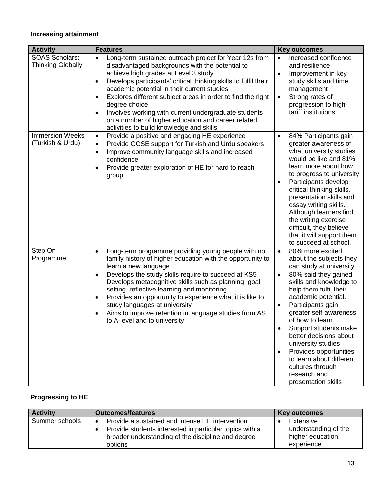## **Increasing attainment**

| <b>Activity</b>                                    | <b>Features</b>                                                                                                                                                                                                                                                                                                                                                                                                                                                                                                                                                   | <b>Key outcomes</b>                                                                                                                                                                                                                                                                                                                                                                                                                                                                |
|----------------------------------------------------|-------------------------------------------------------------------------------------------------------------------------------------------------------------------------------------------------------------------------------------------------------------------------------------------------------------------------------------------------------------------------------------------------------------------------------------------------------------------------------------------------------------------------------------------------------------------|------------------------------------------------------------------------------------------------------------------------------------------------------------------------------------------------------------------------------------------------------------------------------------------------------------------------------------------------------------------------------------------------------------------------------------------------------------------------------------|
| <b>SOAS Scholars:</b><br><b>Thinking Globally!</b> | Long-term sustained outreach project for Year 12s from<br>$\bullet$<br>disadvantaged backgrounds with the potential to<br>achieve high grades at Level 3 study<br>Develops participants' critical thinking skills to fulfil their<br>$\bullet$<br>academic potential in their current studies<br>Explores different subject areas in order to find the right<br>$\bullet$<br>degree choice<br>Involves working with current undergraduate students<br>$\bullet$<br>on a number of higher education and career related<br>activities to build knowledge and skills | Increased confidence<br>$\bullet$<br>and resilience<br>Improvement in key<br>$\bullet$<br>study skills and time<br>management<br>Strong rates of<br>$\bullet$<br>progression to high-<br>tariff institutions                                                                                                                                                                                                                                                                       |
| <b>Immersion Weeks</b><br>(Turkish & Urdu)         | Provide a positive and engaging HE experience<br>$\bullet$<br>Provide GCSE support for Turkish and Urdu speakers<br>$\bullet$<br>Improve community language skills and increased<br>$\bullet$<br>confidence<br>Provide greater exploration of HE for hard to reach<br>group                                                                                                                                                                                                                                                                                       | 84% Participants gain<br>$\bullet$<br>greater awareness of<br>what university studies<br>would be like and 81%<br>learn more about how<br>to progress to university<br>Participants develop<br>$\bullet$<br>critical thinking skills,<br>presentation skills and<br>essay writing skills.<br>Although learners find<br>the writing exercise<br>difficult, they believe<br>that it will support them<br>to succeed at school.                                                       |
| Step On<br>Programme                               | Long-term programme providing young people with no<br>$\bullet$<br>family history of higher education with the opportunity to<br>learn a new language<br>Develops the study skills require to succeed at KS5<br>٠<br>Develops metacognitive skills such as planning, goal<br>setting, reflective learning and monitoring<br>Provides an opportunity to experience what it is like to<br>٠<br>study languages at university<br>Aims to improve retention in language studies from AS<br>$\bullet$<br>to A-level and to university                                  | 80% more excited<br>$\bullet$<br>about the subjects they<br>can study at university<br>80% said they gained<br>$\bullet$<br>skills and knowledge to<br>help them fulfil their<br>academic potential.<br>Participants gain<br>٠<br>greater self-awareness<br>of how to learn<br>Support students make<br>better decisions about<br>university studies<br>Provides opportunities<br>$\bullet$<br>to learn about different<br>cultures through<br>research and<br>presentation skills |

## **Progressing to HE**

| <b>Activity</b> | <b>Outcomes/features</b>                                                                                                                                                    | <b>Key outcomes</b>                                                 |
|-----------------|-----------------------------------------------------------------------------------------------------------------------------------------------------------------------------|---------------------------------------------------------------------|
| Summer schools  | Provide a sustained and intense HE intervention<br>Provide students interested in particular topics with a<br>broader understanding of the discipline and degree<br>options | Extensive<br>understanding of the<br>higher education<br>experience |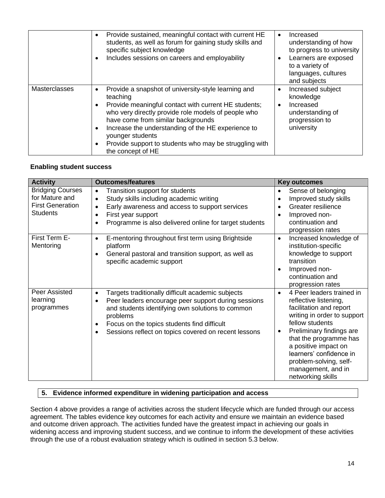|               | Provide sustained, meaningful contact with current HE<br>$\bullet$<br>students, as well as forum for gaining study skills and<br>specific subject knowledge<br>Includes sessions on careers and employability<br>٠                                                                                                                                                                                                        | Increased<br>$\bullet$<br>understanding of how<br>to progress to university<br>Learners are exposed<br>to a variety of<br>languages, cultures<br>and subjects |
|---------------|---------------------------------------------------------------------------------------------------------------------------------------------------------------------------------------------------------------------------------------------------------------------------------------------------------------------------------------------------------------------------------------------------------------------------|---------------------------------------------------------------------------------------------------------------------------------------------------------------|
| Masterclasses | Provide a snapshot of university-style learning and<br>٠<br>teaching<br>Provide meaningful contact with current HE students;<br>$\bullet$<br>who very directly provide role models of people who<br>have come from similar backgrounds<br>Increase the understanding of the HE experience to<br>$\bullet$<br>younger students<br>Provide support to students who may be struggling with<br>$\bullet$<br>the concept of HE | Increased subject<br>٠<br>knowledge<br>Increased<br>$\bullet$<br>understanding of<br>progression to<br>university                                             |

#### **Enabling student success**

| <b>Activity</b>                                                                         | <b>Outcomes/features</b>                                                                                                                                                                                                                                                                                       | <b>Key outcomes</b>                                                                                                                                                                                                                                                                                                                     |
|-----------------------------------------------------------------------------------------|----------------------------------------------------------------------------------------------------------------------------------------------------------------------------------------------------------------------------------------------------------------------------------------------------------------|-----------------------------------------------------------------------------------------------------------------------------------------------------------------------------------------------------------------------------------------------------------------------------------------------------------------------------------------|
| <b>Bridging Courses</b><br>for Mature and<br><b>First Generation</b><br><b>Students</b> | Transition support for students<br>$\bullet$<br>Study skills including academic writing<br>Early awareness and access to support services<br>First year support<br>Programme is also delivered online for target students                                                                                      | Sense of belonging<br>$\bullet$<br>Improved study skills<br>$\bullet$<br>Greater resilience<br>$\bullet$<br>Improved non-<br>$\bullet$<br>continuation and<br>progression rates                                                                                                                                                         |
| First Term E-<br>Mentoring                                                              | E-mentoring throughout first term using Brightside<br>$\bullet$<br>platform<br>General pastoral and transition support, as well as<br>٠<br>specific academic support                                                                                                                                           | Increased knowledge of<br>$\bullet$<br>institution-specific<br>knowledge to support<br>transition<br>Improved non-<br>$\bullet$<br>continuation and<br>progression rates                                                                                                                                                                |
| Peer Assisted<br>learning<br>programmes                                                 | Targets traditionally difficult academic subjects<br>$\bullet$<br>Peer leaders encourage peer support during sessions<br>and students identifying own solutions to common<br>problems<br>Focus on the topics students find difficult<br>$\bullet$<br>Sessions reflect on topics covered on recent lessons<br>٠ | 4 Peer leaders trained in<br>$\bullet$<br>reflective listening,<br>facilitation and report<br>writing in order to support<br>fellow students<br>Preliminary findings are<br>$\bullet$<br>that the programme has<br>a positive impact on<br>learners' confidence in<br>problem-solving, self-<br>management, and in<br>networking skills |

#### **5. Evidence informed expenditure in widening participation and access**

Section 4 above provides a range of activities across the student lifecycle which are funded through our access agreement. The tables evidence key outcomes for each activity and ensure we maintain an evidence based and outcome driven approach. The activities funded have the greatest impact in achieving our goals in widening access and improving student success, and we continue to inform the development of these activities through the use of a robust evaluation strategy which is outlined in section 5.3 below.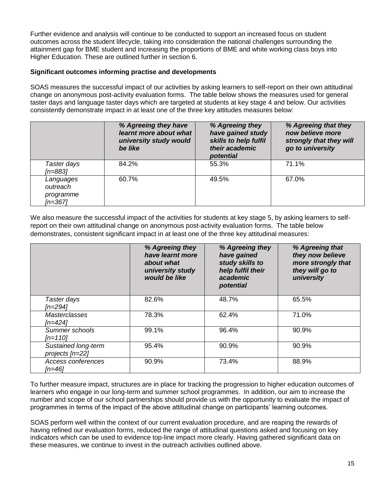Further evidence and analysis will continue to be conducted to support an increased focus on student outcomes across the student lifecycle, taking into consideration the national challenges surrounding the attainment gap for BME student and increasing the proportions of BME and white working class boys into Higher Education. These are outlined further in section 6.

#### **Significant outcomes informing practise and developments**

SOAS measures the successful impact of our activities by asking learners to self-report on their own attitudinal change on anonymous post-activity evaluation forms. The table below shows the measures used for general taster days and language taster days which are targeted at students at key stage 4 and below. Our activities consistently demonstrate impact in at least one of the three key attitudes measures below:

|                                               | % Agreeing they have<br>learnt more about what<br>university study would<br>be like | % Agreeing they<br>have gained study<br>skills to help fulfil<br>their academic<br>potential | % Agreeing that they<br>now believe more<br>strongly that they will<br>go to university |
|-----------------------------------------------|-------------------------------------------------------------------------------------|----------------------------------------------------------------------------------------------|-----------------------------------------------------------------------------------------|
| Taster days<br>[n=883]                        | 84.2%                                                                               | 55.3%                                                                                        | 71.1%                                                                                   |
| Languages<br>outreach<br>programme<br>[n=367] | 60.7%                                                                               | 49.5%                                                                                        | 67.0%                                                                                   |

We also measure the successful impact of the activities for students at key stage 5, by asking learners to selfreport on their own attitudinal change on anonymous post-activity evaluation forms. The table below demonstrates, consistent significant impact in at least one of the three key attitudinal measures:

|                                        | % Agreeing they<br>have learnt more<br>about what<br>university study<br>would be like | % Agreeing they<br>have gained<br>study skills to<br>help fulfil their<br>academic<br>potential | % Agreeing that<br>they now believe<br>more strongly that<br>they will go to<br>university |
|----------------------------------------|----------------------------------------------------------------------------------------|-------------------------------------------------------------------------------------------------|--------------------------------------------------------------------------------------------|
| Taster days<br>[n=294]                 | 82.6%                                                                                  | 48.7%                                                                                           | 65.5%                                                                                      |
| <b>Masterclasses</b><br>$[n=424]$      | 78.3%                                                                                  | 62.4%                                                                                           | 71.0%                                                                                      |
| Summer schools<br>$[n=110]$            | 99.1%                                                                                  | 96.4%                                                                                           | 90.9%                                                                                      |
| Sustained long-term<br>projects [n=22] | 95.4%                                                                                  | 90.9%                                                                                           | 90.9%                                                                                      |
| Access conferences<br>[n=46]           | 90.9%                                                                                  | 73.4%                                                                                           | 88.9%                                                                                      |

To further measure impact, structures are in place for tracking the progression to higher education outcomes of learners who engage in our long-term and summer school programmes. In addition, our aim to increase the number and scope of our school partnerships should provide us with the opportunity to evaluate the impact of programmes in terms of the impact of the above attitudinal change on participants' learning outcomes.

SOAS perform well within the context of our current evaluation procedure, and are reaping the rewards of having refined our evaluation forms, reduced the range of attitudinal questions asked and focusing on key indicators which can be used to evidence top-line impact more clearly. Having gathered significant data on these measures, we continue to invest in the outreach activities outlined above.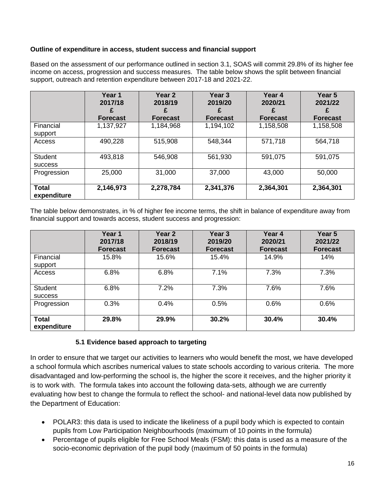#### **Outline of expenditure in access, student success and financial support**

Based on the assessment of our performance outlined in section 3.1, SOAS will commit 29.8% of its higher fee income on access, progression and success measures. The table below shows the split between financial support, outreach and retention expenditure between 2017-18 and 2021-22.

|                                  | Year 1<br>2017/18<br><b>Forecast</b> | Year 2<br>2018/19<br><b>Forecast</b> | Year 3<br>2019/20<br><b>Forecast</b> | Year 4<br>2020/21<br><b>Forecast</b> | Year 5<br>2021/22<br><b>Forecast</b> |
|----------------------------------|--------------------------------------|--------------------------------------|--------------------------------------|--------------------------------------|--------------------------------------|
| Financial<br>support             | 1,137,927                            | 1,184,968                            | 1,194,102                            | 1,158,508                            | 1,158,508                            |
| Access                           | 490,228                              | 515,908                              | 548,344                              | 571,718                              | 564,718                              |
| <b>Student</b><br><b>SUCCESS</b> | 493,818                              | 546,908                              | 561,930                              | 591,075                              | 591,075                              |
| Progression                      | 25,000                               | 31,000                               | 37,000                               | 43,000                               | 50,000                               |
| <b>Total</b><br>expenditure      | 2,146,973                            | 2,278,784                            | 2,341,376                            | 2,364,301                            | 2,364,301                            |

The table below demonstrates, in % of higher fee income terms, the shift in balance of expenditure away from financial support and towards access, student success and progression:

|                                  | Year 1<br>2017/18<br><b>Forecast</b> | <b>Year 2</b><br>2018/19<br><b>Forecast</b> | Year 3<br>2019/20<br><b>Forecast</b> | Year 4<br>2020/21<br><b>Forecast</b> | Year 5<br>2021/22<br><b>Forecast</b> |
|----------------------------------|--------------------------------------|---------------------------------------------|--------------------------------------|--------------------------------------|--------------------------------------|
| Financial<br>support             | 15.8%                                | 15.6%                                       | 15.4%                                | 14.9%                                | 14%                                  |
| Access                           | 6.8%                                 | 6.8%                                        | 7.1%                                 | 7.3%                                 | 7.3%                                 |
| <b>Student</b><br><b>SUCCESS</b> | 6.8%                                 | 7.2%                                        | 7.3%                                 | 7.6%                                 | 7.6%                                 |
| Progression                      | 0.3%                                 | 0.4%                                        | 0.5%                                 | 0.6%                                 | 0.6%                                 |
| <b>Total</b><br>expenditure      | 29.8%                                | 29.9%                                       | 30.2%                                | 30.4%                                | 30.4%                                |

#### **5.1 Evidence based approach to targeting**

In order to ensure that we target our activities to learners who would benefit the most, we have developed a school formula which ascribes numerical values to state schools according to various criteria. The more disadvantaged and low-performing the school is, the higher the score it receives, and the higher priority it is to work with. The formula takes into account the following data-sets, although we are currently evaluating how best to change the formula to reflect the school- and national-level data now published by the Department of Education:

- POLAR3: this data is used to indicate the likeliness of a pupil body which is expected to contain pupils from Low Participation Neighbourhoods (maximum of 10 points in the formula)
- Percentage of pupils eligible for Free School Meals (FSM): this data is used as a measure of the socio-economic deprivation of the pupil body (maximum of 50 points in the formula)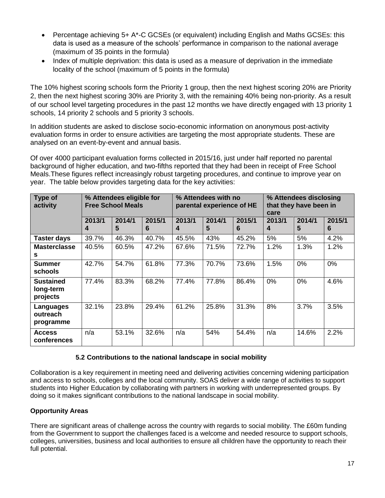- Percentage achieving 5+ A\*-C GCSEs (or equivalent) including English and Maths GCSEs: this data is used as a measure of the schools' performance in comparison to the national average (maximum of 35 points in the formula)
- Index of multiple deprivation: this data is used as a measure of deprivation in the immediate locality of the school (maximum of 5 points in the formula)

The 10% highest scoring schools form the Priority 1 group, then the next highest scoring 20% are Priority 2, then the next highest scoring 30% are Priority 3, with the remaining 40% being non-priority. As a result of our school level targeting procedures in the past 12 months we have directly engaged with 13 priority 1 schools, 14 priority 2 schools and 5 priority 3 schools.

In addition students are asked to disclose socio-economic information on anonymous post-activity evaluation forms in order to ensure activities are targeting the most appropriate students. These are analysed on an event-by-event and annual basis.

Of over 4000 participant evaluation forms collected in 2015/16, just under half reported no parental background of higher education, and two-fifths reported that they had been in receipt of Free School Meals.These figures reflect increasingly robust targeting procedures, and continue to improve year on year. The table below provides targeting data for the key activities:

| Type of<br>activity                       | % Attendees eligible for<br><b>Free School Meals</b> |             |             | % Attendees with no<br>parental experience of HE |             |             | % Attendees disclosing<br>that they have been in<br>care |             |             |
|-------------------------------------------|------------------------------------------------------|-------------|-------------|--------------------------------------------------|-------------|-------------|----------------------------------------------------------|-------------|-------------|
|                                           | 2013/1<br>4                                          | 2014/1<br>5 | 2015/1<br>6 | 2013/1<br>4                                      | 2014/1<br>5 | 2015/1<br>6 | 2013/1<br>4                                              | 2014/1<br>5 | 2015/1<br>6 |
| <b>Taster days</b>                        | 39.7%                                                | 46.3%       | 40.7%       | 45.5%                                            | 43%         | 45.2%       | 5%                                                       | 5%          | 4.2%        |
| <b>Masterclasse</b><br>s                  | 40.5%                                                | 60.5%       | 47.2%       | 67.6%                                            | 71.5%       | 72.7%       | 1.2%                                                     | 1.3%        | 1.2%        |
| <b>Summer</b><br>schools                  | 42.7%                                                | 54.7%       | 61.8%       | 77.3%                                            | 70.7%       | 73.6%       | 1.5%                                                     | 0%          | 0%          |
| <b>Sustained</b><br>long-term<br>projects | 77.4%                                                | 83.3%       | 68.2%       | 77.4%                                            | 77.8%       | 86.4%       | 0%                                                       | $0\%$       | 4.6%        |
| Languages<br>outreach<br>programme        | 32.1%                                                | 23.8%       | 29.4%       | 61.2%                                            | 25.8%       | 31.3%       | 8%                                                       | 3.7%        | 3.5%        |
| <b>Access</b><br>conferences              | n/a                                                  | 53.1%       | 32.6%       | n/a                                              | 54%         | 54.4%       | n/a                                                      | 14.6%       | 2.2%        |

#### **5.2 Contributions to the national landscape in social mobility**

Collaboration is a key requirement in meeting need and delivering activities concerning widening participation and access to schools, colleges and the local community. SOAS deliver a wide range of activities to support students into Higher Education by collaborating with partners in working with underrepresented groups. By doing so it makes significant contributions to the national landscape in social mobility.

#### **Opportunity Areas**

There are significant areas of challenge across the country with regards to social mobility. The £60m funding from the Government to support the challenges faced is a welcome and needed resource to support schools, colleges, universities, business and local authorities to ensure all children have the opportunity to reach their full potential.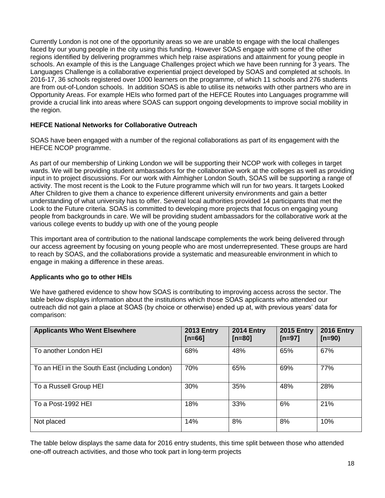Currently London is not one of the opportunity areas so we are unable to engage with the local challenges faced by our young people in the city using this funding. However SOAS engage with some of the other regions identified by delivering programmes which help raise aspirations and attainment for young people in schools. An example of this is the Language Challenges project which we have been running for 3 years. The Languages Challenge is a collaborative experiential project developed by SOAS and completed at schools. In 2016-17, 36 schools registered over 1000 learners on the programme, of which 11 schools and 276 students are from out-of-London schools. In addition SOAS is able to utilise its networks with other partners who are in Opportunity Areas. For example HEIs who formed part of the HEFCE Routes into Languages programme will provide a crucial link into areas where SOAS can support ongoing developments to improve social mobility in the region.

#### **HEFCE National Networks for Collaborative Outreach**

SOAS have been engaged with a number of the regional collaborations as part of its engagement with the HEFCE NCOP programme.

As part of our membership of Linking London we will be supporting their NCOP work with colleges in target wards. We will be providing student ambassadors for the collaborative work at the colleges as well as providing input in to project discussions. For our work with Aimhigher London South, SOAS will be supporting a range of activity. The most recent is the Look to the Future programme which will run for two years. It targets Looked After Children to give them a chance to experience different university environments and gain a better understanding of what university has to offer. Several local authorities provided 14 participants that met the Look to the Future criteria. SOAS is committed to developing more projects that focus on engaging young people from backgrounds in care. We will be providing student ambassadors for the collaborative work at the various college events to buddy up with one of the young people

This important area of contribution to the national landscape complements the work being delivered through our access agreement by focusing on young people who are most underrepresented. These groups are hard to reach by SOAS, and the collaborations provide a systematic and measureable environment in which to engage in making a difference in these areas.

#### **Applicants who go to other HEIs**

We have gathered evidence to show how SOAS is contributing to improving access across the sector. The table below displays information about the institutions which those SOAS applicants who attended our outreach did not gain a place at SOAS (by choice or otherwise) ended up at, with previous years' data for comparison:

| <b>Applicants Who Went Elsewhere</b>           | <b>2013 Entry</b><br>$[n=66]$ | <b>2014 Entry</b><br>$[n=80]$ | <b>2015 Entry</b><br>[ $n=97$ ] | <b>2016 Entry</b><br>$[n=90)$ |
|------------------------------------------------|-------------------------------|-------------------------------|---------------------------------|-------------------------------|
| To another London HEI                          | 68%                           | 48%                           | 65%                             | 67%                           |
| To an HEI in the South East (including London) | 70%                           | 65%                           | 69%                             | 77%                           |
| To a Russell Group HEI                         | 30%                           | 35%                           | 48%                             | 28%                           |
| To a Post-1992 HEI                             | 18%                           | 33%                           | 6%                              | 21%                           |
| Not placed                                     | 14%                           | 8%                            | 8%                              | 10%                           |

The table below displays the same data for 2016 entry students, this time split between those who attended one-off outreach activities, and those who took part in long-term projects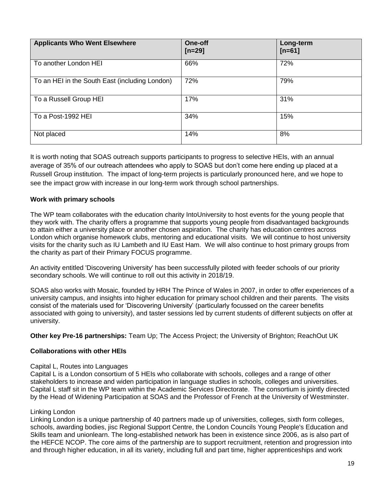| <b>Applicants Who Went Elsewhere</b>           | One-off<br>$[n=29]$ | Long-term<br>[ $n=61$ ] |
|------------------------------------------------|---------------------|-------------------------|
| To another London HEI                          | 66%                 | 72%                     |
| To an HEI in the South East (including London) | 72%                 | 79%                     |
| To a Russell Group HEI                         | 17%                 | 31%                     |
| To a Post-1992 HEI                             | 34%                 | 15%                     |
| Not placed                                     | 14%                 | 8%                      |

It is worth noting that SOAS outreach supports participants to progress to selective HEIs, with an annual average of 35% of our outreach attendees who apply to SOAS but don't come here ending up placed at a Russell Group institution. The impact of long-term projects is particularly pronounced here, and we hope to see the impact grow with increase in our long-term work through school partnerships.

#### **Work with primary schools**

The WP team collaborates with the education charity IntoUniversity to host events for the young people that they work with. The charity offers a programme that supports young people from disadvantaged backgrounds to attain either a university place or another chosen aspiration. The charity has education centres across London which organise homework clubs, mentoring and educational visits. We will continue to host university visits for the charity such as IU Lambeth and IU East Ham. We will also continue to host primary groups from the charity as part of their Primary FOCUS programme.

An activity entitled 'Discovering University' has been successfully piloted with feeder schools of our priority secondary schools. We will continue to roll out this activity in 2018/19.

SOAS also works with Mosaic, founded by HRH The Prince of Wales in 2007, in order to offer experiences of a university campus, and insights into higher education for primary school children and their parents. The visits consist of the materials used for 'Discovering University' (particularly focussed on the career benefits associated with going to university), and taster sessions led by current students of different subjects on offer at university.

**Other key Pre-16 partnerships:** Team Up; The Access Project; the University of Brighton; ReachOut UK

#### **Collaborations with other HEIs**

#### Capital L, Routes into Languages

Capital L is a London consortium of 5 HEIs who collaborate with schools, colleges and a range of other stakeholders to increase and widen participation in language studies in schools, colleges and universities. Capital L staff sit in the WP team within the Academic Services Directorate. The consortium is jointly directed by the Head of Widening Participation at SOAS and the Professor of French at the University of Westminster.

#### Linking London

Linking London is a unique partnership of 40 partners made up of universities, colleges, sixth form colleges, schools, awarding bodies, jisc Regional Support Centre, the London Councils Young People's Education and Skills team and unionlearn. The long-established network has been in existence since 2006, as is also part of the HEFCE NCOP. The core aims of the partnership are to support recruitment, retention and progression into and through higher education, in all its variety, including full and part time, higher apprenticeships and work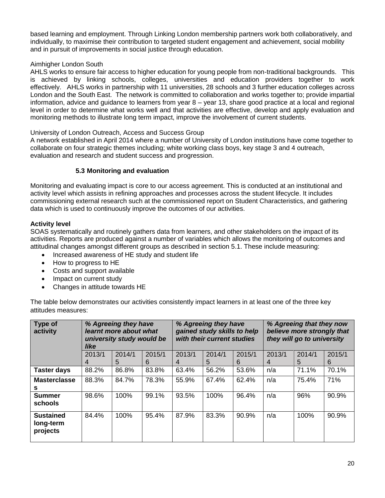based learning and employment. Through Linking London membership partners work both collaboratively, and individually, to maximise their contribution to targeted student engagement and achievement, social mobility and in pursuit of improvements in social justice through education.

#### Aimhigher London South

AHLS works to ensure fair access to higher education for young people from non-traditional backgrounds. This is achieved by linking schools, colleges, universities and education providers together to work effectively. AHLS works in partnership with 11 universities, 28 schools and 3 further education colleges across London and the South East. The network is committed to collaboration and works together to; provide impartial information, advice and guidance to learners from year 8 – year 13, share good practice at a local and regional level in order to determine what works well and that activities are effective, develop and apply evaluation and monitoring methods to illustrate long term impact, improve the involvement of current students.

#### University of London Outreach, Access and Success Group

A network established in April 2014 where a number of University of London institutions have come together to collaborate on four strategic themes including; white working class boys, key stage 3 and 4 outreach, evaluation and research and student success and progression.

#### **5.3 Monitoring and evaluation**

Monitoring and evaluating impact is core to our access agreement. This is conducted at an institutional and activity level which assists in refining approaches and processes across the student lifecycle. It includes commissioning external research such at the commissioned report on Student Characteristics, and gathering data which is used to continuously improve the outcomes of our activities.

#### **Activity level**

SOAS systematically and routinely gathers data from learners, and other stakeholders on the impact of its activities. Reports are produced against a number of variables which allows the monitoring of outcomes and attitudinal changes amongst different groups as described in section 5.1. These include measuring:

- Increased awareness of HE study and student life
- How to progress to HE
- Costs and support available
- Impact on current study
- Changes in attitude towards HE

The table below demonstrates our activities consistently impact learners in at least one of the three key attitudes measures:

| Type of<br>activity                       | % Agreeing they have<br>learnt more about what<br>university study would be<br>like |        |        | % Agreeing they have<br>gained study skills to help<br>with their current studies |        |        | % Agreeing that they now<br>believe more strongly that<br>they will go to university |        |        |
|-------------------------------------------|-------------------------------------------------------------------------------------|--------|--------|-----------------------------------------------------------------------------------|--------|--------|--------------------------------------------------------------------------------------|--------|--------|
|                                           | 2013/1                                                                              | 2014/1 | 2015/1 | 2013/1                                                                            | 2014/1 | 2015/1 | 2013/1                                                                               | 2014/1 | 2015/1 |
|                                           | 4                                                                                   | 5      | 6      | 4                                                                                 | 5      | 6      | 4                                                                                    | 5      | 6      |
| <b>Taster days</b>                        | 88.2%                                                                               | 86.8%  | 83.8%  | 63.4%                                                                             | 56.2%  | 53.6%  | n/a                                                                                  | 71.1%  | 70.1%  |
| <b>Masterclasse</b><br>s                  | 88.3%                                                                               | 84.7%  | 78.3%  | 55.9%                                                                             | 67.4%  | 62.4%  | n/a                                                                                  | 75.4%  | 71%    |
| <b>Summer</b><br>schools                  | 98.6%                                                                               | 100%   | 99.1%  | 93.5%                                                                             | 100%   | 96.4%  | n/a                                                                                  | 96%    | 90.9%  |
| <b>Sustained</b><br>long-term<br>projects | 84.4%                                                                               | 100%   | 95.4%  | 87.9%                                                                             | 83.3%  | 90.9%  | n/a                                                                                  | 100%   | 90.9%  |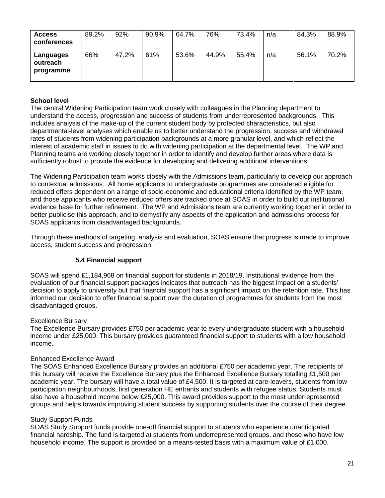| <b>Access</b><br>conferences       | 89.2% | 92%   | 90.9% | 64.7% | 76%   | 73.4% | n/a | 84.3% | 88.9% |
|------------------------------------|-------|-------|-------|-------|-------|-------|-----|-------|-------|
| Languages<br>outreach<br>programme | 66%   | 47.2% | 61%   | 53.6% | 44.9% | 55.4% | n/a | 56.1% | 70.2% |

#### **School level**

The central Widening Participation team work closely with colleagues in the Planning department to understand the access, progression and success of students from underrepresented backgrounds. This includes analysis of the make-up of the current student body by protected characteristics, but also departmental-level analyses which enable us to better understand the progression, success and withdrawal rates of students from widening participation backgrounds at a more granular level, and which reflect the interest of academic staff in issues to do with widening participation at the departmental level. The WP and Planning teams are working closely together in order to identify and develop further areas where data is sufficiently robust to provide the evidence for developing and delivering additional interventions.

The Widening Participation team works closely with the Admissions team, particularly to develop our approach to contextual admissions. All home applicants to undergraduate programmes are considered eligible for reduced offers dependent on a range of socio-economic and educational criteria identified by the WP team, and those applicants who receive reduced offers are tracked once at SOAS in order to build our institutional evidence base for further refinement. The WP and Admissions team are currently working together in order to better publicise this approach, and to demystify any aspects of the application and admissions process for SOAS applicants from disadvantaged backgrounds.

Through these methods of targeting, analysis and evaluation, SOAS ensure that progress is made to improve access, student success and progression.

#### **5.4 Financial support**

SOAS will spend £1,184,968 on financial support for students in 2018/19. Institutional evidence from the evaluation of our financial support packages indicates that outreach has the biggest impact on a students' decision to apply to university but that financial support has a significant impact on the retention rate. This has informed our decision to offer financial support over the duration of programmes for students from the most disadvantaged groups.

#### Excellence Bursary

The Excellence Bursary provides £750 per academic year to every undergraduate student with a household income under £25,000. This bursary provides guaranteed financial support to students with a low household income.

#### Enhanced Excellence Award

The SOAS Enhanced Excellence Bursary provides an additional £750 per academic year. The recipients of this bursary will receive the Excellence Bursary plus the Enhanced Excellence Bursary totalling £1,500 per academic year. The bursary will have a total value of £4,500. It is targeted at care-leavers, students from low participation neighbourhoods, first generation HE entrants and students with refugee status. Students must also have a household income below £25,000. This award provides support to the most underrepresented groups and helps towards improving student success by supporting students over the course of their degree.

#### Study Support Funds

SOAS Study Support funds provide one-off financial support to students who experience unanticipated financial hardship. The fund is targeted at students from underrepresented groups, and those who have low household income. The support is provided on a means-tested basis with a maximum value of £1,000.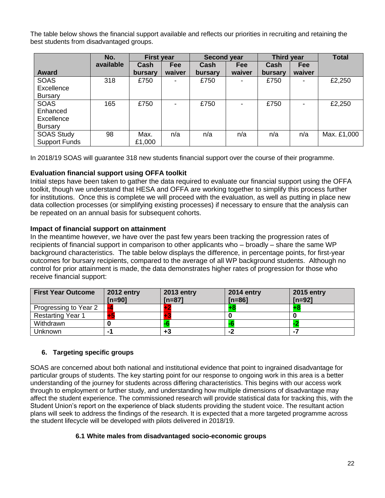The table below shows the financial support available and reflects our priorities in recruiting and retaining the best students from disadvantaged groups.

|                      | No.       | <b>First year</b> |            | <b>Second year</b> |            | Third year |            | <b>Total</b> |
|----------------------|-----------|-------------------|------------|--------------------|------------|------------|------------|--------------|
|                      | available | Cash              | <b>Fee</b> | Cash               | <b>Fee</b> | Cash       | <b>Fee</b> |              |
| <b>Award</b>         |           | bursary           | waiver     | bursary            | waiver     | bursary    | waiver     |              |
| <b>SOAS</b>          | 318       | £750              |            | £750               |            | £750       |            | £2,250       |
| Excellence           |           |                   |            |                    |            |            |            |              |
| <b>Bursary</b>       |           |                   |            |                    |            |            |            |              |
| <b>SOAS</b>          | 165       | £750              |            | £750               |            | £750       |            | £2,250       |
| Enhanced             |           |                   |            |                    |            |            |            |              |
| Excellence           |           |                   |            |                    |            |            |            |              |
| Bursary              |           |                   |            |                    |            |            |            |              |
| <b>SOAS Study</b>    | 98        | Max.              | n/a        | n/a                | n/a        | n/a        | n/a        | Max. £1,000  |
| <b>Support Funds</b> |           | £1,000            |            |                    |            |            |            |              |

In 2018/19 SOAS will guarantee 318 new students financial support over the course of their programme.

#### **Evaluation financial support using OFFA toolkit**

Initial steps have been taken to gather the data required to evaluate our financial support using the OFFA toolkit, though we understand that HESA and OFFA are working together to simplify this process further for institutions. Once this is complete we will proceed with the evaluation, as well as putting in place new data collection processes (or simplifying existing processes) if necessary to ensure that the analysis can be repeated on an annual basis for subsequent cohorts.

#### **Impact of financial support on attainment**

In the meantime however, we have over the past few years been tracking the progression rates of recipients of financial support in comparison to other applicants who – broadly – share the same WP background characteristics. The table below displays the difference, in percentage points, for first-year outcomes for bursary recipients, compared to the average of all WP background students. Although no control for prior attainment is made, the data demonstrates higher rates of progression for those who receive financial support:

| <b>First Year Outcome</b> | <b>2012 entry</b><br>$[n=90]$ | <b>2013 entry</b><br>$In = 871$ | <b>2014 entry</b><br>$[n=86]$ | <b>2015 entry</b><br>$[n=92]$ |
|---------------------------|-------------------------------|---------------------------------|-------------------------------|-------------------------------|
| Progressing to Year 2     | -4                            |                                 |                               |                               |
| <b>Restarting Year 1</b>  |                               |                                 |                               |                               |
| Withdrawn                 |                               |                                 |                               |                               |
| Unknown                   |                               | +3                              | -2                            |                               |

#### **6. Targeting specific groups**

SOAS are concerned about both national and institutional evidence that point to ingrained disadvantage for particular groups of students. The key starting point for our response to ongoing work in this area is a better understanding of the journey for students across differing characteristics. This begins with our access work through to employment or further study, and understanding how multiple dimensions of disadvantage may affect the student experience. The commissioned research will provide statistical data for tracking this, with the Student Union's report on the experience of black students providing the student voice. The resultant action plans will seek to address the findings of the research. It is expected that a more targeted programme across the student lifecycle will be developed with pilots delivered in 2018/19.

#### **6.1 White males from disadvantaged socio-economic groups**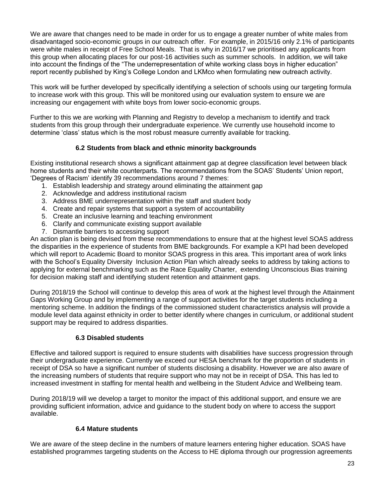We are aware that changes need to be made in order for us to engage a greater number of white males from disadvantaged socio-economic groups in our outreach offer. For example, in 2015/16 only 2.1% of participants were white males in receipt of Free School Meals. That is why in 2016/17 we prioritised any applicants from this group when allocating places for our post-16 activities such as summer schools. In addition, we will take into account the findings of the "The underrepresentation of white working class boys in higher education" report recently published by King's College London and LKMco when formulating new outreach activity.

This work will be further developed by specifically identifying a selection of schools using our targeting formula to increase work with this group. This will be monitored using our evaluation system to ensure we are increasing our engagement with white boys from lower socio-economic groups.

Further to this we are working with Planning and Registry to develop a mechanism to identify and track students from this group through their undergraduate experience. We currently use household income to determine 'class' status which is the most robust measure currently available for tracking.

#### **6.2 Students from black and ethnic minority backgrounds**

Existing institutional research shows a significant attainment gap at degree classification level between black home students and their white counterparts. The recommendations from the SOAS' Students' Union report, 'Degrees of Racism' identify 39 recommendations around 7 themes:

- 1. Establish leadership and strategy around eliminating the attainment gap
- 2. Acknowledge and address institutional racism
- 3. Address BME underrepresentation within the staff and student body
- 4. Create and repair systems that support a system of accountability
- 5. Create an inclusive learning and teaching environment
- 6. Clarify and communicate existing support available
- 7. Dismantle barriers to accessing support

An action plan is being devised from these recommendations to ensure that at the highest level SOAS address the disparities in the experience of students from BME backgrounds. For example a KPI had been developed which will report to Academic Board to monitor SOAS progress in this area. This important area of work links with the School's Equality Diversity Inclusion Action Plan which already seeks to address by taking actions to applying for external benchmarking such as the Race Equality Charter, extending Unconscious Bias training for decision making staff and identifying student retention and attainment gaps.

During 2018/19 the School will continue to develop this area of work at the highest level through the Attainment Gaps Working Group and by implementing a range of support activities for the target students including a mentoring scheme. In addition the findings of the commissioned student characteristics analysis will provide a module level data against ethnicity in order to better identify where changes in curriculum, or additional student support may be required to address disparities.

#### **6.3 Disabled students**

Effective and tailored support is required to ensure students with disabilities have success progression through their undergraduate experience. Currently we exceed our HESA benchmark for the proportion of students in receipt of DSA so have a significant number of students disclosing a disability. However we are also aware of the increasing numbers of students that require support who may not be in receipt of DSA. This has led to increased investment in staffing for mental health and wellbeing in the Student Advice and Wellbeing team.

During 2018/19 will we develop a target to monitor the impact of this additional support, and ensure we are providing sufficient information, advice and guidance to the student body on where to access the support available.

#### **6.4 Mature students**

We are aware of the steep decline in the numbers of mature learners entering higher education. SOAS have established programmes targeting students on the Access to HE diploma through our progression agreements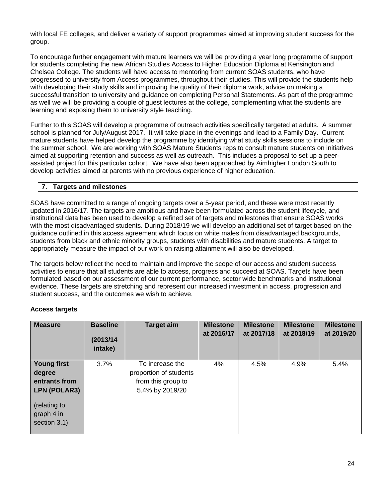with local FE colleges, and deliver a variety of support programmes aimed at improving student success for the group.

To encourage further engagement with mature learners we will be providing a year long programme of support for students completing the new African Studies Access to Higher Education Diploma at Kensington and Chelsea College. The students will have access to mentoring from current SOAS students, who have progressed to university from Access programmes, throughout their studies. This will provide the students help with developing their study skills and improving the quality of their diploma work, advice on making a successful transition to university and guidance on completing Personal Statements. As part of the programme as well we will be providing a couple of guest lectures at the college, complementing what the students are learning and exposing them to university style teaching.

Further to this SOAS will develop a programme of outreach activities specifically targeted at adults. A summer school is planned for July/August 2017. It will take place in the evenings and lead to a Family Day. Current mature students have helped develop the programme by identifying what study skills sessions to include on the summer school. We are working with SOAS Mature Students reps to consult mature students on initiatives aimed at supporting retention and success as well as outreach. This includes a proposal to set up a peerassisted project for this particular cohort. We have also been approached by Aimhigher London South to develop activities aimed at parents with no previous experience of higher education.

#### **7. Targets and milestones**

SOAS have committed to a range of ongoing targets over a 5-year period, and these were most recently updated in 2016/17. The targets are ambitious and have been formulated across the student lifecycle, and institutional data has been used to develop a refined set of targets and milestones that ensure SOAS works with the most disadvantaged students. During 2018/19 we will develop an additional set of target based on the guidance outlined in this access agreement which focus on white males from disadvantaged backgrounds, students from black and ethnic minority groups, students with disabilities and mature students. A target to appropriately measure the impact of our work on raising attainment will also be developed.

The targets below reflect the need to maintain and improve the scope of our access and student success activities to ensure that all students are able to access, progress and succeed at SOAS. Targets have been formulated based on our assessment of our current performance, sector wide benchmarks and institutional evidence. These targets are stretching and represent our increased investment in access, progression and student success, and the outcomes we wish to achieve.

#### **Access targets**

| <b>Measure</b>                                                | <b>Baseline</b><br>(2013/14)<br>intake) | <b>Target aim</b>                                                                  | <b>Milestone</b><br>at 2016/17 | <b>Milestone</b><br>at 2017/18 | <b>Milestone</b><br>at 2018/19 | <b>Milestone</b><br>at 2019/20 |
|---------------------------------------------------------------|-----------------------------------------|------------------------------------------------------------------------------------|--------------------------------|--------------------------------|--------------------------------|--------------------------------|
| <b>Young first</b><br>degree<br>entrants from<br>LPN (POLAR3) | 3.7%                                    | To increase the<br>proportion of students<br>from this group to<br>5.4% by 2019/20 | 4%                             | 4.5%                           | 4.9%                           | 5.4%                           |
| (relating to<br>graph 4 in<br>section 3.1)                    |                                         |                                                                                    |                                |                                |                                |                                |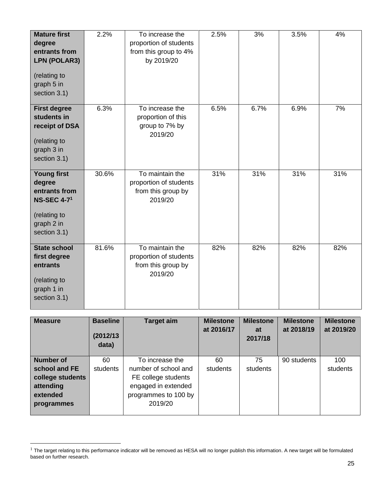| <b>Mature first</b><br>degree<br>entrants from<br><b>LPN (POLAR3)</b><br>(relating to<br>graph 5 in<br>section 3.1) | 2.2%  | To increase the<br>proportion of students<br>from this group to 4%<br>by 2019/20 | 2.5% | 3%   | 3.5% | 4%  |
|---------------------------------------------------------------------------------------------------------------------|-------|----------------------------------------------------------------------------------|------|------|------|-----|
| <b>First degree</b><br>students in<br>receipt of DSA<br>(relating to<br>graph 3 in<br>section 3.1)                  | 6.3%  | To increase the<br>proportion of this<br>group to 7% by<br>2019/20               | 6.5% | 6.7% | 6.9% | 7%  |
| <b>Young first</b><br>degree<br>entrants from<br><b>NS-SEC 4-71</b><br>(relating to<br>graph 2 in<br>section 3.1)   | 30.6% | To maintain the<br>proportion of students<br>from this group by<br>2019/20       | 31%  | 31%  | 31%  | 31% |
| <b>State school</b><br>first degree<br>entrants<br>(relating to<br>graph 1 in<br>section 3.1)                       | 81.6% | To maintain the<br>proportion of students<br>from this group by<br>2019/20       | 82%  | 82%  | 82%  | 82% |

| <b>Measure</b>   | <b>Baseline</b><br>(2012/13)<br>data) | <b>Target aim</b>    | <b>Milestone</b><br>at 2016/17 | <b>Milestone</b><br>at<br>2017/18 | <b>Milestone</b><br>at 2018/19 | <b>Milestone</b><br>at 2019/20 |
|------------------|---------------------------------------|----------------------|--------------------------------|-----------------------------------|--------------------------------|--------------------------------|
| <b>Number of</b> | 60                                    | To increase the      | 60                             | 75                                | 90 students                    | 100                            |
| school and FE    | students                              | number of school and | students                       | students                          |                                | students                       |
| college students |                                       | FE college students  |                                |                                   |                                |                                |
| attending        |                                       | engaged in extended  |                                |                                   |                                |                                |
| extended         |                                       | programmes to 100 by |                                |                                   |                                |                                |
| programmes       |                                       | 2019/20              |                                |                                   |                                |                                |
|                  |                                       |                      |                                |                                   |                                |                                |

 $\ddot{\phantom{a}}$ 

 $1$  The target relating to this performance indicator will be removed as HESA will no longer publish this information. A new target will be formulated based on further research.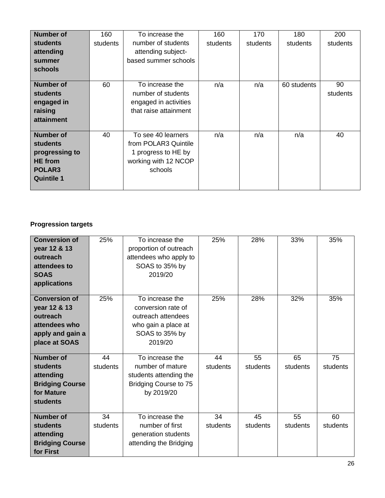| <b>Number of</b><br><b>students</b>                                                                    | 160<br>students | To increase the<br>number of students                                                                | 160<br>students | 170<br>students | 180<br>students | 200<br>students |
|--------------------------------------------------------------------------------------------------------|-----------------|------------------------------------------------------------------------------------------------------|-----------------|-----------------|-----------------|-----------------|
| attending<br>summer<br>schools                                                                         |                 | attending subject-<br>based summer schools                                                           |                 |                 |                 |                 |
| Number of<br>students<br>engaged in<br>raising<br>attainment                                           | 60              | To increase the<br>number of students<br>engaged in activities<br>that raise attainment              | n/a             | n/a             | 60 students     | 90<br>students  |
| <b>Number of</b><br><b>students</b><br>progressing to<br><b>HE</b> from<br>POLAR3<br><b>Quintile 1</b> | 40              | To see 40 learners<br>from POLAR3 Quintile<br>1 progress to HE by<br>working with 12 NCOP<br>schools | n/a             | n/a             | n/a             | 40              |

## **Progression targets**

| <b>Conversion of</b><br>year 12 & 13<br>outreach<br>attendees to<br><b>SOAS</b><br>applications        | 25%      | To increase the<br>proportion of outreach<br>attendees who apply to<br>SOAS to 35% by<br>2019/20                | 25%      | 28%      | 33%      | 35%      |
|--------------------------------------------------------------------------------------------------------|----------|-----------------------------------------------------------------------------------------------------------------|----------|----------|----------|----------|
| <b>Conversion of</b><br>year 12 & 13<br>outreach<br>attendees who<br>apply and gain a<br>place at SOAS | 25%      | To increase the<br>conversion rate of<br>outreach attendees<br>who gain a place at<br>SOAS to 35% by<br>2019/20 | 25%      | 28%      | 32%      | 35%      |
| <b>Number of</b>                                                                                       | 44       | To increase the                                                                                                 | 44       | 55       | 65       | 75       |
| students                                                                                               | students | number of mature                                                                                                | students | students | students | students |
| attending                                                                                              |          | students attending the                                                                                          |          |          |          |          |
| <b>Bridging Course</b>                                                                                 |          | Bridging Course to 75                                                                                           |          |          |          |          |
| for Mature                                                                                             |          | by 2019/20                                                                                                      |          |          |          |          |
| <b>students</b>                                                                                        |          |                                                                                                                 |          |          |          |          |
| <b>Number of</b>                                                                                       | 34       | To increase the                                                                                                 | 34       | 45       | 55       | 60       |
| <b>students</b>                                                                                        | students | number of first                                                                                                 | students | students | students | students |
| attending                                                                                              |          | generation students                                                                                             |          |          |          |          |
| <b>Bridging Course</b><br>for First                                                                    |          | attending the Bridging                                                                                          |          |          |          |          |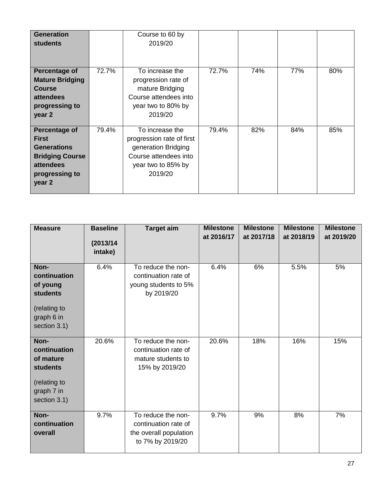| <b>Generation</b><br><b>students</b>                                                                                   |       | Course to 60 by<br>2019/20                                                                                                    |       |     |     |     |
|------------------------------------------------------------------------------------------------------------------------|-------|-------------------------------------------------------------------------------------------------------------------------------|-------|-----|-----|-----|
| Percentage of<br><b>Mature Bridging</b><br><b>Course</b><br>attendees<br>progressing to<br>year 2                      | 72.7% | To increase the<br>progression rate of<br>mature Bridging<br>Course attendees into<br>year two to 80% by<br>2019/20           | 72.7% | 74% | 77% | 80% |
| Percentage of<br><b>First</b><br><b>Generations</b><br><b>Bridging Course</b><br>attendees<br>progressing to<br>year 2 | 79.4% | To increase the<br>progression rate of first<br>generation Bridging<br>Course attendees into<br>year two to 85% by<br>2019/20 | 79.4% | 82% | 84% | 85% |

| <b>Measure</b>                                                                                     | <b>Baseline</b><br>(2013/14)<br>intake) | <b>Target aim</b>                                                                        | <b>Milestone</b><br>at 2016/17 | <b>Milestone</b><br>at 2017/18 | <b>Milestone</b><br>at 2018/19 | <b>Milestone</b><br>at 2019/20 |
|----------------------------------------------------------------------------------------------------|-----------------------------------------|------------------------------------------------------------------------------------------|--------------------------------|--------------------------------|--------------------------------|--------------------------------|
| Non-<br>continuation<br>of young<br><b>students</b><br>(relating to<br>graph 6 in<br>section 3.1)  | 6.4%                                    | To reduce the non-<br>continuation rate of<br>young students to 5%<br>by 2019/20         | 6.4%                           | 6%                             | 5.5%                           | 5%                             |
| Non-<br>continuation<br>of mature<br><b>students</b><br>(relating to<br>graph 7 in<br>section 3.1) | 20.6%                                   | To reduce the non-<br>continuation rate of<br>mature students to<br>15% by 2019/20       | 20.6%                          | 18%                            | 16%                            | 15%                            |
| Non-<br>continuation<br>overall                                                                    | 9.7%                                    | To reduce the non-<br>continuation rate of<br>the overall population<br>to 7% by 2019/20 | 9.7%                           | 9%                             | 8%                             | 7%                             |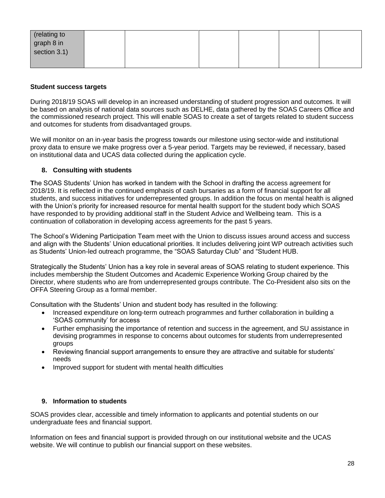| (relating to<br>graph 8 in<br>section 3.1) |  |  |  |
|--------------------------------------------|--|--|--|
|                                            |  |  |  |

#### **Student success targets**

During 2018/19 SOAS will develop in an increased understanding of student progression and outcomes. It will be based on analysis of national data sources such as DELHE, data gathered by the SOAS Careers Office and the commissioned research project. This will enable SOAS to create a set of targets related to student success and outcomes for students from disadvantaged groups.

We will monitor on an in-year basis the progress towards our milestone using sector-wide and institutional proxy data to ensure we make progress over a 5-year period. Targets may be reviewed, if necessary, based on institutional data and UCAS data collected during the application cycle.

#### **8. Consulting with students**

**T**he SOAS Students' Union has worked in tandem with the School in drafting the access agreement for 2018/19. It is reflected in the continued emphasis of cash bursaries as a form of financial support for all students, and success initiatives for underrepresented groups. In addition the focus on mental health is aligned with the Union's priority for increased resource for mental health support for the student body which SOAS have responded to by providing additional staff in the Student Advice and Wellbeing team. This is a continuation of collaboration in developing access agreements for the past 5 years.

The School's Widening Participation Team meet with the Union to discuss issues around access and success and align with the Students' Union educational priorities. It includes delivering joint WP outreach activities such as Students' Union-led outreach programme, the "SOAS Saturday Club" and "Student HUB.

Strategically the Students' Union has a key role in several areas of SOAS relating to student experience. This includes membership the Student Outcomes and Academic Experience Working Group chaired by the Director, where students who are from underrepresented groups contribute. The Co-President also sits on the OFFA Steering Group as a formal member.

Consultation with the Students' Union and student body has resulted in the following:

- Increased expenditure on long-term outreach programmes and further collaboration in building a 'SOAS community' for access
- Further emphasising the importance of retention and success in the agreement, and SU assistance in devising programmes in response to concerns about outcomes for students from underrepresented groups
- Reviewing financial support arrangements to ensure they are attractive and suitable for students' needs
- Improved support for student with mental health difficulties

#### **9. Information to students**

SOAS provides clear, accessible and timely information to applicants and potential students on our undergraduate fees and financial support.

Information on fees and financial support is provided through on our institutional website and the UCAS website. We will continue to publish our financial support on these websites.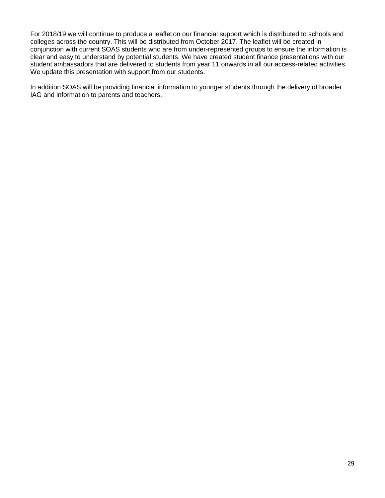For 2018/19 we will continue to produce a leaflet on our financial support which is distributed to schools and colleges across the country. This will be distributed from October 2017. The leaflet will be created in conjunction with current SOAS students who are from under-represented groups to ensure the information is clear and easy to understand by potential students. We have created student finance presentations with our student ambassadors that are delivered to students from year 11 onwards in all our access-related activities. We update this presentation with support from our students.

In addition SOAS will be providing financial information to younger students through the delivery of broader IAG and information to parents and teachers.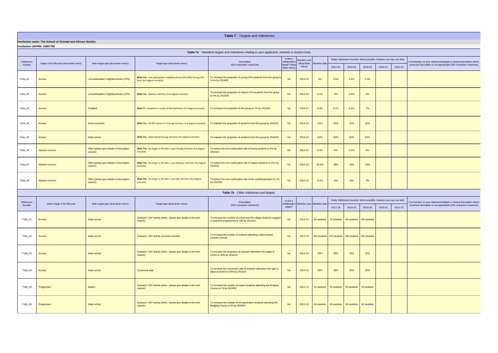| Table 7a - Statistical targets and milestones relating to your applicants, entrants or student body |                                         |                                                      |                                                                                                    |                                                                                        |                                                          |                               |                            |                                                                      |         |         |         |         |                            |
|-----------------------------------------------------------------------------------------------------|-----------------------------------------|------------------------------------------------------|----------------------------------------------------------------------------------------------------|----------------------------------------------------------------------------------------|----------------------------------------------------------|-------------------------------|----------------------------|----------------------------------------------------------------------|---------|---------|---------|---------|----------------------------|
| Reference<br>number                                                                                 | Stage of the lifecycle (drop-down menu) | Main target type (drop-down menu)                    | Target type (drop-down menu)                                                                       | Description<br>(500 characters maximum)                                                | Is this a<br>collaborative<br>target? (drop<br>down menu | <b>Baseline</b> year<br>menu) | (drop-down   Baseline data | Yearly milestones (numeric where possible, however you may use text) |         |         |         |         | Commentary on your mile    |
|                                                                                                     |                                         |                                                      |                                                                                                    |                                                                                        |                                                          |                               |                            | 2017-18                                                              | 2018-19 | 2019-20 | 2020-21 | 2021-22 | numerical description is r |
| T16a_01                                                                                             | <b>Access</b>                           | Low participation neighbourhoods (LPN)               | HESA T1a - Low participation neighbourhoods (POLAR3) (Young, full-<br>time, first degree entrants) | To increase the proportion of young LPN students from this group to<br>5.4% by 2019/20 | <b>No</b>                                                | 2013-14                       | 4%                         | 4.5%                                                                 | 4.9%    | 5.4%    |         |         |                            |
| T16a_02                                                                                             | <b>Access</b>                           | Low participation neighbourhoods (LPN)               | HESA T2a - (Mature, full-time, first degree entrants)                                              | To increase the proportion of mature LPN students from this group<br>to 4% by 2019/20  | <b>No</b>                                                | 2013-14                       | 2.2%                       | 3%                                                                   | 3.5%    | 4%      |         |         |                            |
| T16a_03                                                                                             | <b>Access</b>                           | <b>Disabled</b>                                      | HESA T7 - Students in receipt of DSA (full-time, first degree entrants)                            | To increase the proportion of this group to 7% by 2019/20                              | <b>No</b>                                                | 2013-14                       | 6.3%                       | 6.7%                                                                 | 6.9%    | 7%      |         |         |                            |
| T16a_04                                                                                             | <b>Access</b>                           | Socio-economic                                       | HESA T1a - NS-SEC classes 4-7 (Young, full-time, first degree entrants)                            | To maintain the proportion of students from this group by 2019/20                      | <b>No</b>                                                | 2013-14                       | 31%                        | 31%                                                                  | 31%     | 31%     |         |         |                            |
| T16a_05                                                                                             | <b>Access</b>                           | State school                                         | HESA T1a - State School (Young, full-time, first degree entrants)                                  | To maintain the proportion of students from this group by 2019/20                      | <b>No</b>                                                | 2013-14                       | 82%                        | 82%                                                                  | 82%     | 82%     |         |         |                            |
| T16a_06                                                                                             | <b>Student success</b>                  | Other (please give details in Description<br>column) | HESA T3a - No longer in HE after 1 year (Young, full-time, first degree<br>entrants)               | To reduce the non-continuation rate of young students to 5% by<br>2019/20              | <b>No</b>                                                | 2012-13                       | 6.4%                       | 6%                                                                   | 5.5%    | 5%      |         |         |                            |
| T16a_07                                                                                             | <b>Student success</b>                  | Other (please give details in Description<br>column) | HESA T3a - No longer in HE after 1 year (Mature, full-time, first degree<br>entrants)              | To reduce the non-continuation rate of mature students to 15% by<br>2019/20            | <b>No</b>                                                | 2012-13                       | 20.6%                      | 18%                                                                  | 16%     | 15%     |         |         |                            |
| T16a_08                                                                                             | <b>Student success</b>                  | Other (please give details in Description<br>column) | HESA T3a - No longer in HE after 1 year (All, full-time, first degree<br>entrants)                 | To reduce the non-continuation rate of the overall population to 7%<br>by 2019/20      | <b>No</b>                                                | 2012-13                       | 9.7%                       | 9%                                                                   | 8%      | 7%      |         |         |                            |

| Reference<br>Number | Select stage of the lifecycle | Main target type (drop-down menu) | Target type (drop-down menu)                                               | Description                                                                                                  | Is this a |         | collaborative Baseline year Baseline data - | Yearly milestones (numeric where possible, however you may use text) | Commentary on your miles |                          |         |         |                            |
|---------------------|-------------------------------|-----------------------------------|----------------------------------------------------------------------------|--------------------------------------------------------------------------------------------------------------|-----------|---------|---------------------------------------------|----------------------------------------------------------------------|--------------------------|--------------------------|---------|---------|----------------------------|
|                     |                               |                                   |                                                                            | (500 characters maximum)                                                                                     | target?   |         |                                             | 2017-18                                                              | 2018-19                  | 2019-20                  | 2020-21 | 2021-22 | numerical description is n |
| T16b_01             | <b>Access</b>                 | State school                      | Outreach / WP activity (other - please give details in the next<br>column) | To increase the number of school and FE college students engaged<br>in extended programmes to 100 by 2019/20 | No        | 2012-13 |                                             | 60 students 75 students                                              |                          | 90 students 100 students |         |         |                            |
| T16b_02             | <b>Access</b>                 | State school                      | Outreach / WP activity (summer schools)                                    | To increase the number of students attending subject-based<br>summer schools                                 | No        | 2012-13 |                                             | 160 students 170 students 180 students 200 students                  |                          |                          |         |         |                            |
| T16b_03             | <b>Access</b>                 | State school                      | Outreach / WP activity (other - please give details in the next<br>column) | To increase the proportion of outreach attendees who apply to<br>SOAS to 35% by 2019/20                      | <b>No</b> | 2012-13 | 25%                                         | 28%                                                                  | 33%                      | 35%                      |         |         |                            |
| T16b_04             | <b>Access</b>                 | State school                      | Contextual data                                                            | To increase the conversion rate of outreach attendees who gain a<br>place at SOAS to 35% by 2019/20          | No        | 2012-13 | 25%                                         | 28%                                                                  | 32%                      | 35%                      |         |         |                            |
| T16b_05             | Progression                   | <b>Mature</b>                     | Outreach / WP activity (other - please give details in the next<br>column) | To increase the number of mature students attending the Bridging<br>Course to 75 by 2019/20                  | No        | 2012-13 |                                             | 44 students   55 students   65 students                              |                          | 75 students              |         |         |                            |
| T16b_06             | Progression                   | State school                      | Outreach / WP activity (other - please give details in the next<br>column) | To increase the number of first generation students attending the<br>Bridging Course to 60 by 2019/20        | No        | 2012-13 |                                             | 34 students 45 students                                              | 55 students 60 students  |                          |         |         |                            |



# **Table 7** - Targets and milestones

# **Table 7b** - Other milestones and targets.

**Institution name: The School of Oriental and African Studies Institution UKPRN: 10007780**